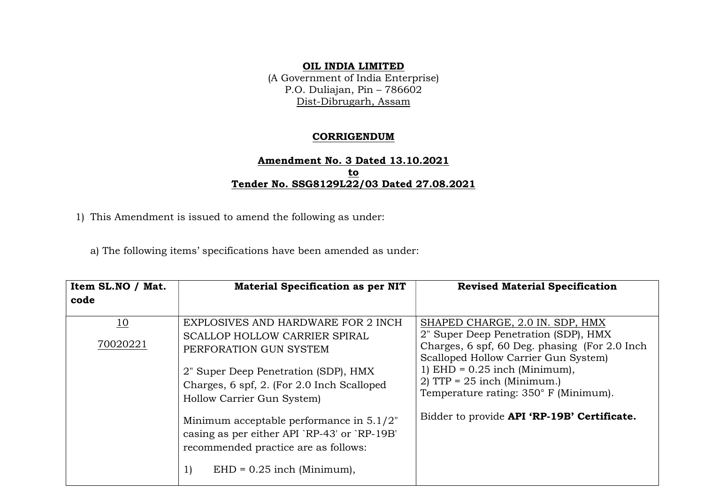## OIL INDIA LIMITED

(A Government of India Enterprise) P.O. Duliajan, Pin – 786602 Dist-Dibrugarh, Assam

## CORRIGENDUM

## Amendment No. 3 Dated 13.10.2021 to Tender No. SSG8129L22/03 Dated 27.08.2021

1) This Amendment is issued to amend the following as under:

a) The following items' specifications have been amended as under:

| Item SL.NO / Mat.<br>code | <b>Material Specification as per NIT</b>                                                                                                                                                                                                                                                                                                                 | <b>Revised Material Specification</b>                                                                                                                                                                                                                                                                                        |
|---------------------------|----------------------------------------------------------------------------------------------------------------------------------------------------------------------------------------------------------------------------------------------------------------------------------------------------------------------------------------------------------|------------------------------------------------------------------------------------------------------------------------------------------------------------------------------------------------------------------------------------------------------------------------------------------------------------------------------|
| 10<br>70020221            | EXPLOSIVES AND HARDWARE FOR 2 INCH<br>SCALLOP HOLLOW CARRIER SPIRAL<br>PERFORATION GUN SYSTEM<br>2" Super Deep Penetration (SDP), HMX<br>Charges, 6 spf, 2. (For 2.0 Inch Scalloped<br>Hollow Carrier Gun System)<br>Minimum acceptable performance in $5.1/2$ "<br>casing as per either API `RP-43' or `RP-19B'<br>recommended practice are as follows: | SHAPED CHARGE, 2.0 IN. SDP, HMX<br>2" Super Deep Penetration (SDP), HMX<br>Charges, 6 spf, 60 Deg. phasing (For 2.0 Inch<br>Scalloped Hollow Carrier Gun System)<br>1) EHD = $0.25$ inch (Minimum),<br>2) TTP = $25$ inch (Minimum.)<br>Temperature rating: 350° F (Minimum).<br>Bidder to provide API 'RP-19B' Certificate. |
|                           | 1)<br>$EHD = 0.25$ inch (Minimum),                                                                                                                                                                                                                                                                                                                       |                                                                                                                                                                                                                                                                                                                              |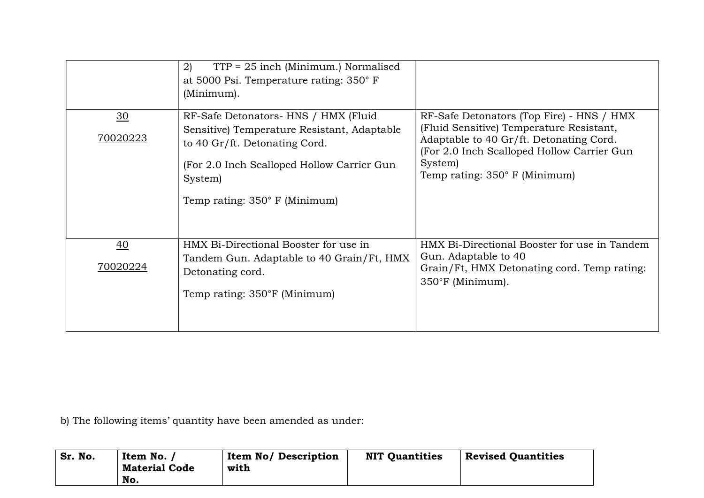|                             | $TTP = 25$ inch (Minimum.) Normalised<br>2)<br>at 5000 Psi. Temperature rating: 350° F<br>(Minimum).                                                                                                           |                                                                                                                                                                                                                                   |
|-----------------------------|----------------------------------------------------------------------------------------------------------------------------------------------------------------------------------------------------------------|-----------------------------------------------------------------------------------------------------------------------------------------------------------------------------------------------------------------------------------|
| $\frac{30}{2}$<br>70020223  | RF-Safe Detonators- HNS / HMX (Fluid<br>Sensitive) Temperature Resistant, Adaptable<br>to 40 Gr/ft. Detonating Cord.<br>(For 2.0 Inch Scalloped Hollow Carrier Gun<br>System)<br>Temp rating: 350° F (Minimum) | RF-Safe Detonators (Top Fire) - HNS / HMX<br>(Fluid Sensitive) Temperature Resistant,<br>Adaptable to 40 Gr/ft. Detonating Cord.<br>(For 2.0 Inch Scalloped Hollow Carrier Gun<br>System)<br>Temp rating: $350^\circ$ F (Minimum) |
| $\overline{40}$<br>70020224 | HMX Bi-Directional Booster for use in<br>Tandem Gun. Adaptable to 40 Grain/Ft, HMX<br>Detonating cord.<br>Temp rating: 350°F (Minimum)                                                                         | HMX Bi-Directional Booster for use in Tandem<br>Gun. Adaptable to 40<br>Grain/Ft, HMX Detonating cord. Temp rating:<br>350°F (Minimum).                                                                                           |

b) The following items' quantity have been amended as under:

| Sr. No. | Item No.             | <b>Item No/ Description</b> | <b>NIT Quantities</b> | <b>Revised Quantities</b> |
|---------|----------------------|-----------------------------|-----------------------|---------------------------|
|         | <b>Material Code</b> | with                        |                       |                           |
|         | No.                  |                             |                       |                           |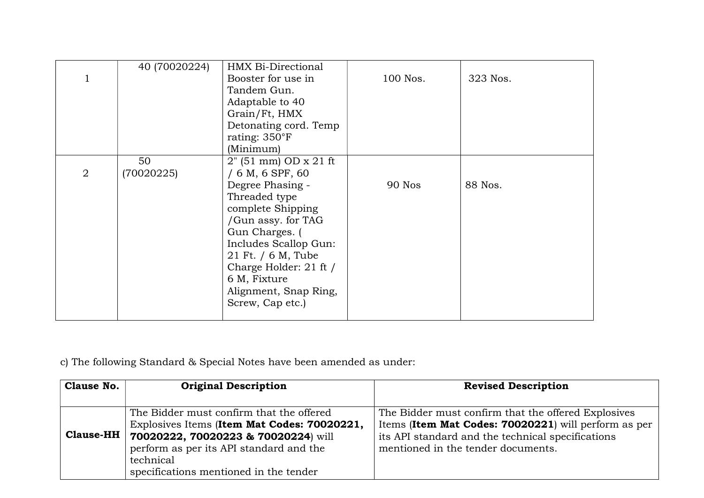|                | 40 (70020224) | HMX Bi-Directional                    |               |          |
|----------------|---------------|---------------------------------------|---------------|----------|
|                |               | Booster for use in                    | 100 Nos.      | 323 Nos. |
|                |               | Tandem Gun.                           |               |          |
|                |               | Adaptable to 40                       |               |          |
|                |               | Grain/Ft, HMX                         |               |          |
|                |               | Detonating cord. Temp                 |               |          |
|                |               | rating: $350^{\circ}$ F               |               |          |
|                |               | (Minimum)                             |               |          |
|                | 50            | $2^{\prime\prime}$ (51 mm) OD x 21 ft |               |          |
| $\overline{2}$ | (70020225)    | $/ 6$ M, 6 SPF, 60                    |               |          |
|                |               | Degree Phasing -                      | <b>90 Nos</b> | 88 Nos.  |
|                |               | Threaded type                         |               |          |
|                |               | complete Shipping                     |               |          |
|                |               | /Gun assy. for TAG                    |               |          |
|                |               | Gun Charges. (                        |               |          |
|                |               | Includes Scallop Gun:                 |               |          |
|                |               | 21 Ft. / 6 M, Tube                    |               |          |
|                |               | Charge Holder: 21 ft /                |               |          |
|                |               | 6 M, Fixture                          |               |          |
|                |               | Alignment, Snap Ring,                 |               |          |
|                |               | Screw, Cap etc.)                      |               |          |
|                |               |                                       |               |          |

c) The following Standard & Special Notes have been amended as under:

| Clause No.       | <b>Original Description</b>                                                                                                                                                                                                      | <b>Revised Description</b>                                                                                                                                                                             |
|------------------|----------------------------------------------------------------------------------------------------------------------------------------------------------------------------------------------------------------------------------|--------------------------------------------------------------------------------------------------------------------------------------------------------------------------------------------------------|
|                  |                                                                                                                                                                                                                                  |                                                                                                                                                                                                        |
| <b>Clause-HH</b> | The Bidder must confirm that the offered<br>Explosives Items (Item Mat Codes: 70020221,<br>70020222, 70020223 & 70020224) will<br>perform as per its API standard and the<br>technical<br>specifications mentioned in the tender | The Bidder must confirm that the offered Explosives<br>Items (Item Mat Codes: 70020221) will perform as per<br>its API standard and the technical specifications<br>mentioned in the tender documents. |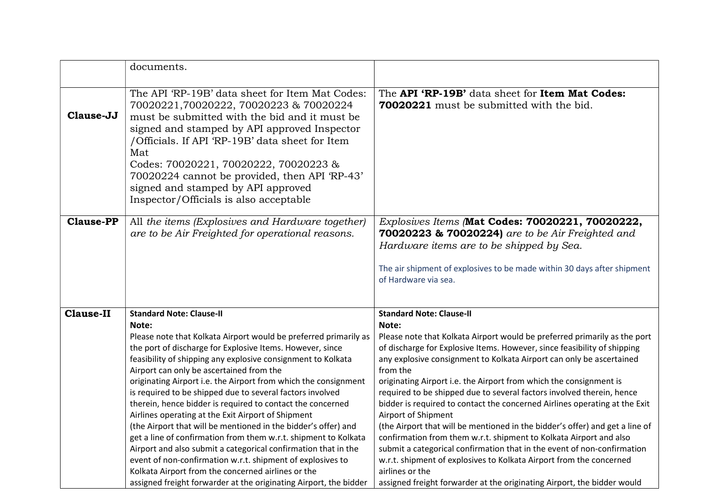|                  | documents.                                                                                                                                                                                                                                                                                                                                                                                                                                                                                                                                                                                                                                                                                                                                                                                                                                                                                                                                |                                                                                                                                                                                                                                                                                                                                                                                                                                                                                                                                                                                                                                                                                                                                                                                                                                                                                                                                                 |
|------------------|-------------------------------------------------------------------------------------------------------------------------------------------------------------------------------------------------------------------------------------------------------------------------------------------------------------------------------------------------------------------------------------------------------------------------------------------------------------------------------------------------------------------------------------------------------------------------------------------------------------------------------------------------------------------------------------------------------------------------------------------------------------------------------------------------------------------------------------------------------------------------------------------------------------------------------------------|-------------------------------------------------------------------------------------------------------------------------------------------------------------------------------------------------------------------------------------------------------------------------------------------------------------------------------------------------------------------------------------------------------------------------------------------------------------------------------------------------------------------------------------------------------------------------------------------------------------------------------------------------------------------------------------------------------------------------------------------------------------------------------------------------------------------------------------------------------------------------------------------------------------------------------------------------|
| Clause-JJ        | The API 'RP-19B' data sheet for Item Mat Codes:<br>70020221,70020222, 70020223 & 70020224<br>must be submitted with the bid and it must be<br>signed and stamped by API approved Inspector<br>/Officials. If API 'RP-19B' data sheet for Item<br>Mat<br>Codes: 70020221, 70020222, 70020223 &<br>70020224 cannot be provided, then API 'RP-43'<br>signed and stamped by API approved<br>Inspector/Officials is also acceptable                                                                                                                                                                                                                                                                                                                                                                                                                                                                                                            | The API 'RP-19B' data sheet for Item Mat Codes:<br>70020221 must be submitted with the bid.                                                                                                                                                                                                                                                                                                                                                                                                                                                                                                                                                                                                                                                                                                                                                                                                                                                     |
| <b>Clause-PP</b> | All the items (Explosives and Hardware together)<br>are to be Air Freighted for operational reasons.                                                                                                                                                                                                                                                                                                                                                                                                                                                                                                                                                                                                                                                                                                                                                                                                                                      | Explosives Items (Mat Codes: 70020221, 70020222,<br>70020223 & 70020224) are to be Air Freighted and<br>Hardware items are to be shipped by Sea.<br>The air shipment of explosives to be made within 30 days after shipment<br>of Hardware via sea.                                                                                                                                                                                                                                                                                                                                                                                                                                                                                                                                                                                                                                                                                             |
| <b>Clause-II</b> | <b>Standard Note: Clause-II</b><br>Note:<br>Please note that Kolkata Airport would be preferred primarily as<br>the port of discharge for Explosive Items. However, since<br>feasibility of shipping any explosive consignment to Kolkata<br>Airport can only be ascertained from the<br>originating Airport i.e. the Airport from which the consignment<br>is required to be shipped due to several factors involved<br>therein, hence bidder is required to contact the concerned<br>Airlines operating at the Exit Airport of Shipment<br>(the Airport that will be mentioned in the bidder's offer) and<br>get a line of confirmation from them w.r.t. shipment to Kolkata<br>Airport and also submit a categorical confirmation that in the<br>event of non-confirmation w.r.t. shipment of explosives to<br>Kolkata Airport from the concerned airlines or the<br>assigned freight forwarder at the originating Airport, the bidder | <b>Standard Note: Clause-II</b><br>Note:<br>Please note that Kolkata Airport would be preferred primarily as the port<br>of discharge for Explosive Items. However, since feasibility of shipping<br>any explosive consignment to Kolkata Airport can only be ascertained<br>from the<br>originating Airport i.e. the Airport from which the consignment is<br>required to be shipped due to several factors involved therein, hence<br>bidder is required to contact the concerned Airlines operating at the Exit<br>Airport of Shipment<br>(the Airport that will be mentioned in the bidder's offer) and get a line of<br>confirmation from them w.r.t. shipment to Kolkata Airport and also<br>submit a categorical confirmation that in the event of non-confirmation<br>w.r.t. shipment of explosives to Kolkata Airport from the concerned<br>airlines or the<br>assigned freight forwarder at the originating Airport, the bidder would |